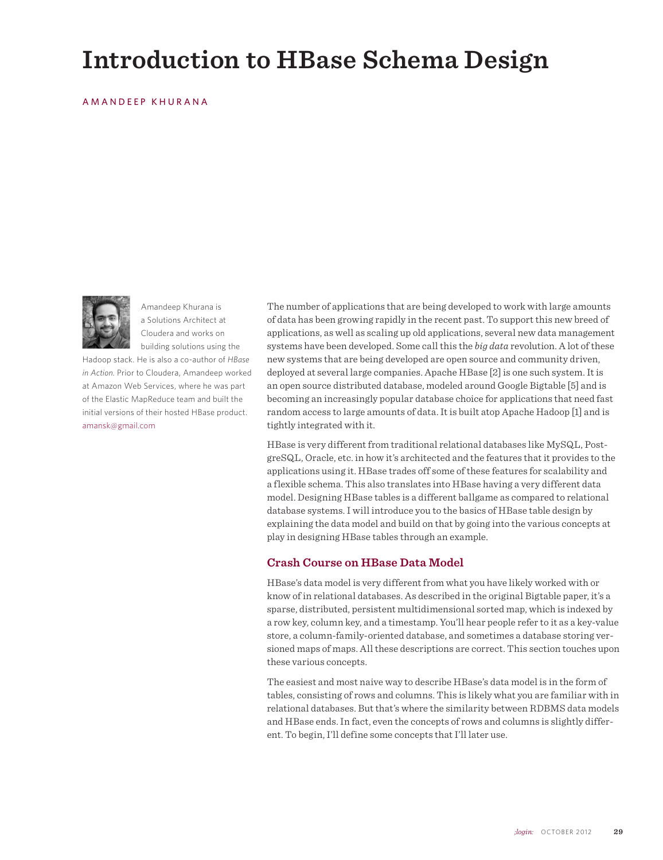# **Introduction to HBase Schema Design**

## AMANDEEP KHURANA



Amandeep Khurana is a Solutions Architect at Cloudera and works on building solutions using the

Hadoop stack. He is also a co-author of *HBase in Action.* Prior to Cloudera, Amandeep worked at Amazon Web Services, where he was part of the Elastic MapReduce team and built the initial versions of their hosted HBase product. amansk@gmail.com

The number of applications that are being developed to work with large amounts of data has been growing rapidly in the recent past. To support this new breed of applications, as well as scaling up old applications, several new data management systems have been developed. Some call this the *big data* revolution. A lot of these new systems that are being developed are open source and community driven, deployed at several large companies. Apache HBase [2] is one such system. It is an open source distributed database, modeled around Google Bigtable [5] and is becoming an increasingly popular database choice for applications that need fast random access to large amounts of data. It is built atop Apache Hadoop [1] and is tightly integrated with it.

HBase is very different from traditional relational databases like MySQL, PostgreSQL, Oracle, etc. in how it's architected and the features that it provides to the applications using it. HBase trades off some of these features for scalability and a flexible schema. This also translates into HBase having a very different data model. Designing HBase tables is a different ballgame as compared to relational database systems. I will introduce you to the basics of HBase table design by explaining the data model and build on that by going into the various concepts at play in designing HBase tables through an example.

## **Crash Course on HBase Data Model**

HBase's data model is very different from what you have likely worked with or know of in relational databases. As described in the original Bigtable paper, it's a sparse, distributed, persistent multidimensional sorted map, which is indexed by a row key, column key, and a timestamp. You'll hear people refer to it as a key-value store, a column-family-oriented database, and sometimes a database storing versioned maps of maps. All these descriptions are correct. This section touches upon these various concepts.

The easiest and most naive way to describe HBase's data model is in the form of tables, consisting of rows and columns. This is likely what you are familiar with in relational databases. But that's where the similarity between RDBMS data models and HBase ends. In fact, even the concepts of rows and columns is slightly different. To begin, I'll define some concepts that I'll later use.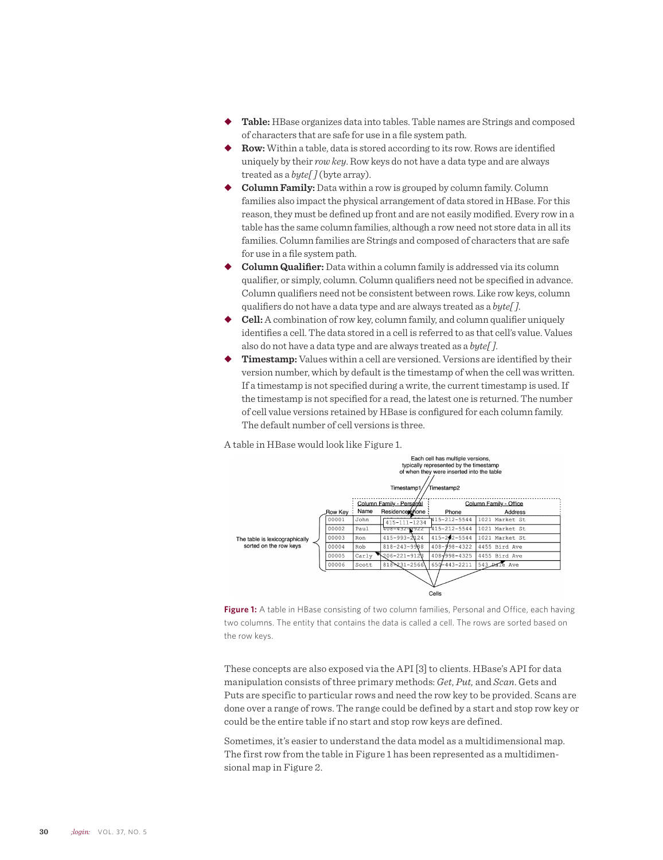- ◆ Table: HBase organizes data into tables. Table names are Strings and composed of characters that are safe for use in a file system path.
- Row: Within a table, data is stored according to its row. Rows are identified uniquely by their *row key*. Row keys do not have a data type and are always treated as a *byte[ ]* (byte array).
- ◆ **Column Family:** Data within a row is grouped by column family. Column families also impact the physical arrangement of data stored in HBase. For this reason, they must be defined up front and are not easily modified. Every row in a table has the same column families, although a row need not store data in all its families. Column families are Strings and composed of characters that are safe for use in a file system path.
- **Column Qualifier:** Data within a column family is addressed via its column qualifier, or simply, column. Column qualifiers need not be specified in advance. Column qualifiers need not be consistent between rows. Like row keys, column qualifiers do not have a data type and are always treated as a *byte[ ]*.
- u **Cell:** A combination of row key, column family, and column qualifier uniquely identifies a cell. The data stored in a cell is referred to as that cell's value. Values also do not have a data type and are always treated as a *byte[ ]*.
- Timestamp: Values within a cell are versioned. Versions are identified by their version number, which by default is the timestamp of when the cell was written. If a timestamp is not specified during a write, the current timestamp is used. If the timestamp is not specified for a read, the latest one is returned. The number of cell value versions retained by HBase is configured for each column family. The default number of cell versions is three.

A table in HBase would look like Figure 1.





These concepts are also exposed via the API [3] to clients. HBase's API for data manipulation consists of three primary methods: *Get*, *Put,* and *Scan*. Gets and Puts are specific to particular rows and need the row key to be provided. Scans are done over a range of rows. The range could be defined by a start and stop row key or could be the entire table if no start and stop row keys are defined.

Sometimes, it's easier to understand the data model as a multidimensional map. The first row from the table in Figure 1 has been represented as a multidimensional map in Figure 2.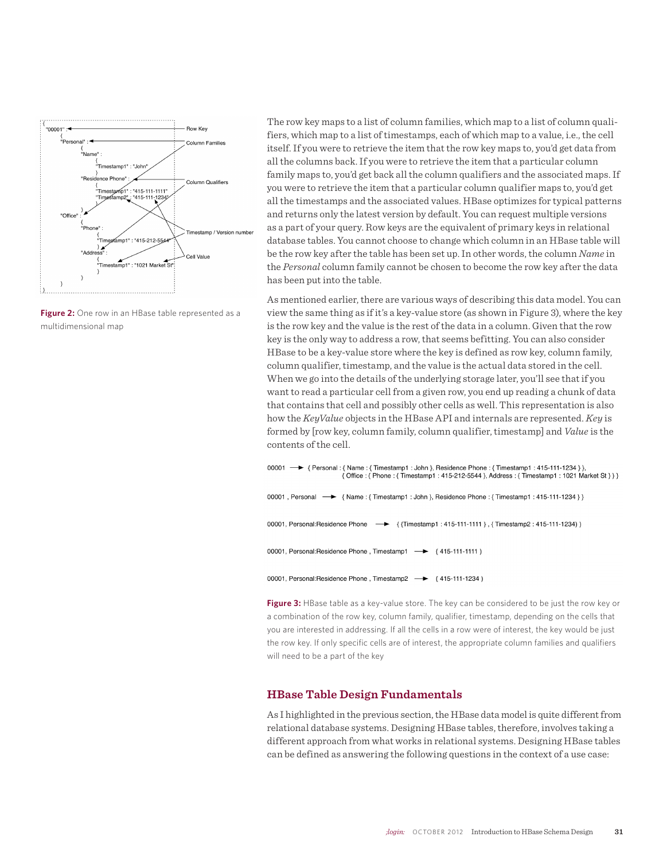

Figure 2: One row in an HBase table represented as a multidimensional map

The row key maps to a list of column families, which map to a list of column qualifiers, which map to a list of timestamps, each of which map to a value, i.e., the cell itself. If you were to retrieve the item that the row key maps to, you'd get data from all the columns back. If you were to retrieve the item that a particular column family maps to, you'd get back all the column qualifiers and the associated maps. If you were to retrieve the item that a particular column qualifier maps to, you'd get all the timestamps and the associated values. HBase optimizes for typical patterns and returns only the latest version by default. You can request multiple versions as a part of your query. Row keys are the equivalent of primary keys in relational database tables. You cannot choose to change which column in an HBase table will be the row key after the table has been set up. In other words, the column *Name* in the *Personal* column family cannot be chosen to become the row key after the data has been put into the table.

As mentioned earlier, there are various ways of describing this data model. You can view the same thing as if it's a key-value store (as shown in Figure 3), where the key is the row key and the value is the rest of the data in a column. Given that the row key is the only way to address a row, that seems befitting. You can also consider HBase to be a key-value store where the key is defined as row key, column family, column qualifier, timestamp, and the value is the actual data stored in the cell. When we go into the details of the underlying storage later, you'll see that if you want to read a particular cell from a given row, you end up reading a chunk of data that contains that cell and possibly other cells as well. This representation is also how the *KeyValue* objects in the HBase API and internals are represented. *Key* is formed by [row key, column family, column qualifier, timestamp] and *Value* is the contents of the cell.

```
00001 -→ { Personal : { Name : { Timestamp1 : John }, Residence Phone : { Timestamp1 : 415-111-1234 } },
                       { Office : { Phone : { Timestamp1 : 415-212-5544 }, Address : { Timestamp1 : 1021 Market St } } }
00001, Personal -> {Name: {Timestamp1: John }, Residence Phone: {Timestamp1: 415-111-1234 } }
00001, Personal:Residence Phone -> { {Timestamp1 : 415-111-1111 } , { Timestamp2 : 415-111-1234) }
00001, Personal:Residence Phone, Timestamp1 -> {415-111-1111}
00001, Personal:Residence Phone, Timestamp2 -> {415-111-1234}
```
**Figure 3:** HBase table as a key-value store. The key can be considered to be just the row key or a combination of the row key, column family, qualifier, timestamp, depending on the cells that you are interested in addressing. If all the cells in a row were of interest, the key would be just the row key. If only specific cells are of interest, the appropriate column families and qualifiers will need to be a part of the key

## **HBase Table Design Fundamentals**

As I highlighted in the previous section, the HBase data model is quite different from relational database systems. Designing HBase tables, therefore, involves taking a different approach from what works in relational systems. Designing HBase tables can be defined as answering the following questions in the context of a use case: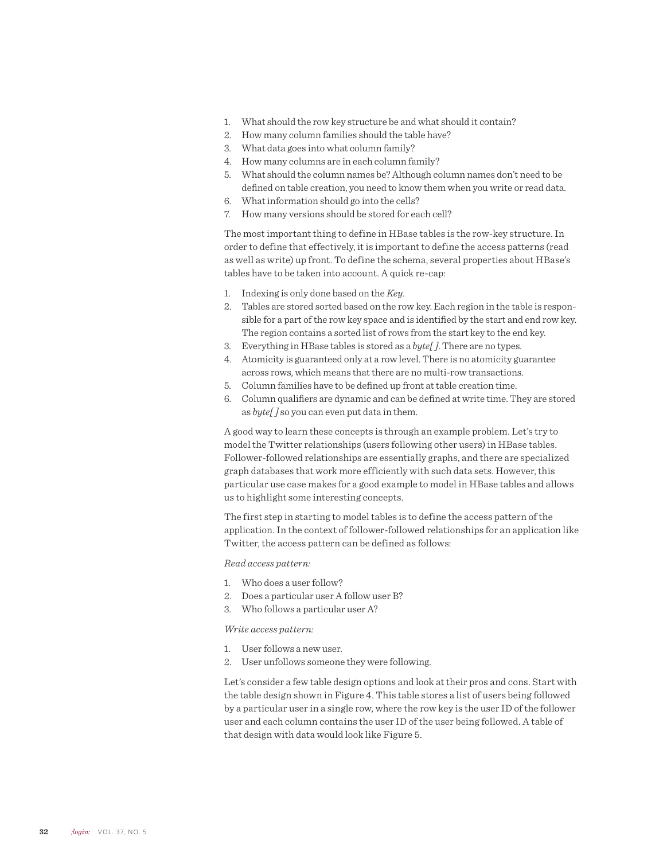- 1. What should the row key structure be and what should it contain?
- 2. How many column families should the table have?
- 3. What data goes into what column family?
- 4. How many columns are in each column family?
- 5. What should the column names be? Although column names don't need to be defined on table creation, you need to know them when you write or read data.
- 6. What information should go into the cells?
- 7. How many versions should be stored for each cell?

The most important thing to define in HBase tables is the row-key structure. In order to define that effectively, it is important to define the access patterns (read as well as write) up front. To define the schema, several properties about HBase's tables have to be taken into account. A quick re-cap:

- 1. Indexing is only done based on the *Key*.
- 2. Tables are stored sorted based on the row key. Each region in the table is responsible for a part of the row key space and is identified by the start and end row key. The region contains a sorted list of rows from the start key to the end key.
- 3. Everything in HBase tables is stored as a *byte[ ]*. There are no types.
- 4. Atomicity is guaranteed only at a row level. There is no atomicity guarantee across rows, which means that there are no multi-row transactions.
- 5. Column families have to be defined up front at table creation time.
- 6. Column qualifiers are dynamic and can be defined at write time. They are stored as *byte[ ]* so you can even put data in them.

A good way to learn these concepts is through an example problem. Let's try to model the Twitter relationships (users following other users) in HBase tables. Follower-followed relationships are essentially graphs, and there are specialized graph databases that work more efficiently with such data sets. However, this particular use case makes for a good example to model in HBase tables and allows us to highlight some interesting concepts.

The first step in starting to model tables is to define the access pattern of the application. In the context of follower-followed relationships for an application like Twitter, the access pattern can be defined as follows:

#### *Read access pattern:*

- 1. Who does a user follow?
- 2. Does a particular user A follow user B?
- 3. Who follows a particular user A?

### *Write access pattern:*

- 1. User follows a new user.
- 2. User unfollows someone they were following.

Let's consider a few table design options and look at their pros and cons. Start with the table design shown in Figure 4. This table stores a list of users being followed by a particular user in a single row, where the row key is the user ID of the follower user and each column contains the user ID of the user being followed. A table of that design with data would look like Figure 5.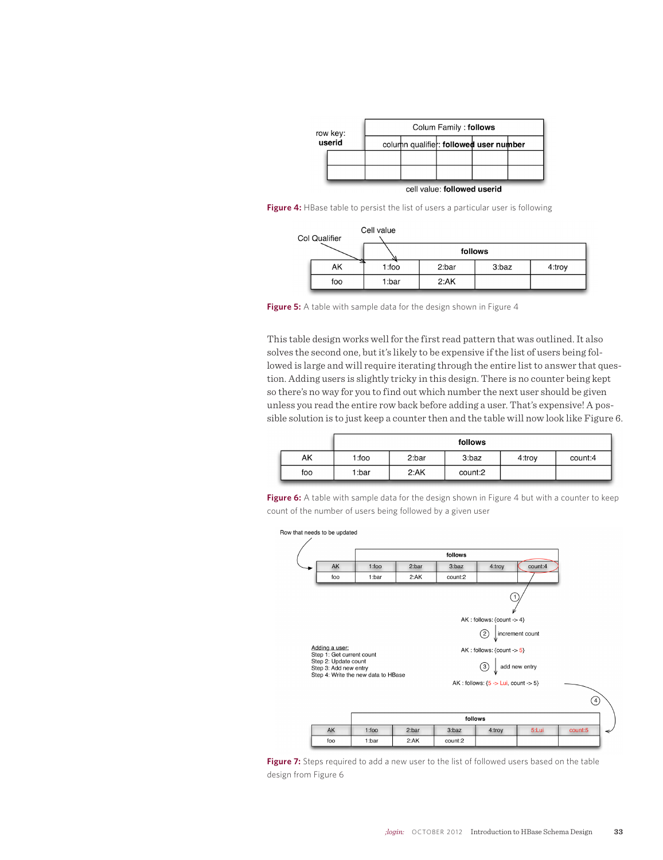| row key:<br>userid |  | Colum Family: follows |                             |                                        |  |  |  |
|--------------------|--|-----------------------|-----------------------------|----------------------------------------|--|--|--|
|                    |  |                       |                             | column qualifier: followed user number |  |  |  |
|                    |  |                       |                             |                                        |  |  |  |
|                    |  |                       |                             |                                        |  |  |  |
|                    |  |                       | cell value: followed userid |                                        |  |  |  |

Figure 4: HBase table to persist the list of users a particular user is following

| Cell value<br>Col Qualifier |     |          |         |       |        |  |  |
|-----------------------------|-----|----------|---------|-------|--------|--|--|
|                             |     |          | follows |       |        |  |  |
|                             | AK  | $1:$ foo | 2:bar   | 3:baz | 4:troy |  |  |
|                             | foo | 1:bar    | 2:AK    |       |        |  |  |

**Figure 5:** A table with sample data for the design shown in Figure 4

This table design works well for the first read pattern that was outlined. It also solves the second one, but it's likely to be expensive if the list of users being followed is large and will require iterating through the entire list to answer that question. Adding users is slightly tricky in this design. There is no counter being kept so there's no way for you to find out which number the next user should be given unless you read the entire row back before adding a user. That's expensive! A possible solution is to just keep a counter then and the table will now look like Figure 6.

|     | follows |       |         |        |         |
|-----|---------|-------|---------|--------|---------|
| AK  | 1:foo   | 2:bar | 3:baz   | 4:trov | count:4 |
| foo | 1:bar   | 2:AK  | count:2 |        |         |

Figure 6: A table with sample data for the design shown in Figure 4 but with a counter to keep count of the number of users being followed by a given user

Row that needs to be updated



Figure 7: Steps required to add a new user to the list of followed users based on the table design from Figure 6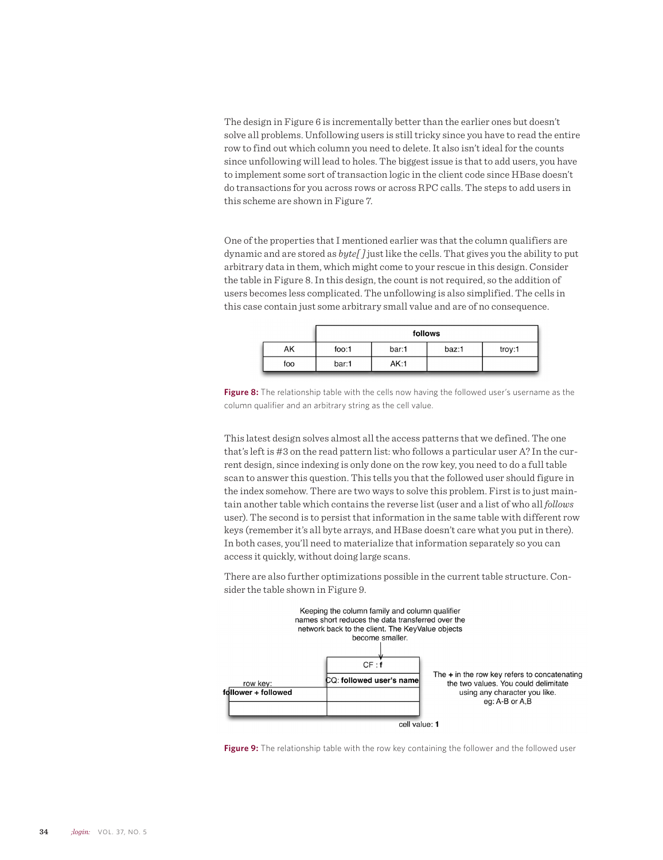The design in Figure 6 is incrementally better than the earlier ones but doesn't solve all problems. Unfollowing users is still tricky since you have to read the entire row to find out which column you need to delete. It also isn't ideal for the counts since unfollowing will lead to holes. The biggest issue is that to add users, you have to implement some sort of transaction logic in the client code since HBase doesn't do transactions for you across rows or across RPC calls. The steps to add users in this scheme are shown in Figure 7.

One of the properties that I mentioned earlier was that the column qualifiers are dynamic and are stored as *byte[ ]* just like the cells. That gives you the ability to put arbitrary data in them, which might come to your rescue in this design. Consider the table in Figure 8. In this design, the count is not required, so the addition of users becomes less complicated. The unfollowing is also simplified. The cells in this case contain just some arbitrary small value and are of no consequence.

|     | follows |       |       |        |  |
|-----|---------|-------|-------|--------|--|
| AΚ  | foo:1   | bar:1 | baz:1 | troy:1 |  |
| foo | bar:1   | AK:1  |       |        |  |

**Figure 8:** The relationship table with the cells now having the followed user's username as the column qualifier and an arbitrary string as the cell value.

This latest design solves almost all the access patterns that we defined. The one that's left is #3 on the read pattern list: who follows a particular user A? In the current design, since indexing is only done on the row key, you need to do a full table scan to answer this question. This tells you that the followed user should figure in the index somehow. There are two ways to solve this problem. First is to just maintain another table which contains the reverse list (user and a list of who all *follows* user). The second is to persist that information in the same table with different row keys (remember it's all byte arrays, and HBase doesn't care what you put in there). In both cases, you'll need to materialize that information separately so you can access it quickly, without doing large scans.

There are also further optimizations possible in the current table structure. Consider the table shown in Figure 9.



**Figure 9:** The relationship table with the row key containing the follower and the followed user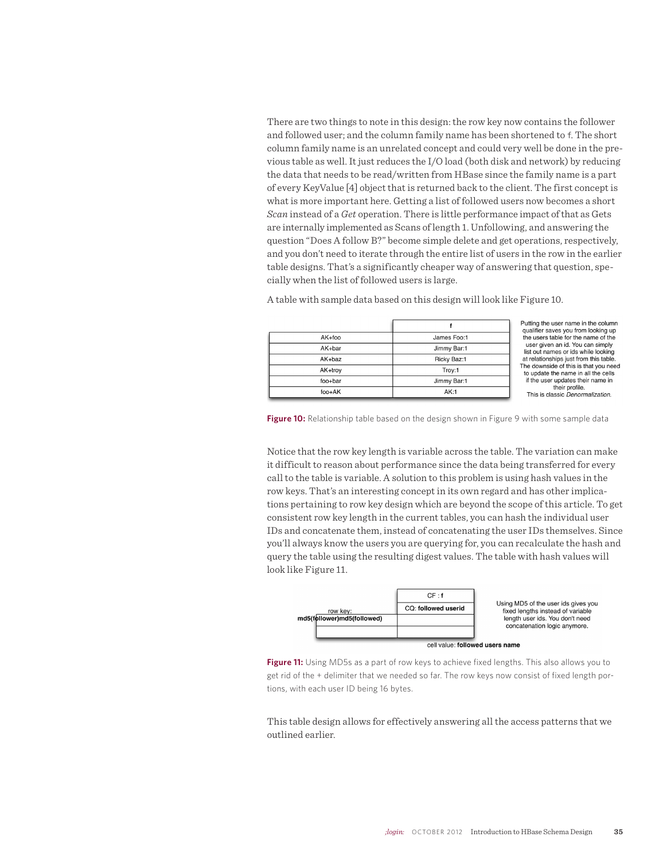There are two things to note in this design: the row key now contains the follower and followed user; and the column family name has been shortened to f. The short column family name is an unrelated concept and could very well be done in the previous table as well. It just reduces the I/O load (both disk and network) by reducing the data that needs to be read/written from HBase since the family name is a part of every KeyValue [4] object that is returned back to the client. The first concept is what is more important here. Getting a list of followed users now becomes a short *Scan* instead of a *Get* operation. There is little performance impact of that as Gets are internally implemented as Scans of length 1. Unfollowing, and answering the question "Does A follow B?" become simple delete and get operations, respectively, and you don't need to iterate through the entire list of users in the row in the earlier table designs. That's a significantly cheaper way of answering that question, specially when the list of followed users is large.

 $\ddot{\mathbf{f}}$ AK+foo James Foo:1 AK+bar Jimmy Bar:1 AK+baz Ricky Baz:1 AK+troy Troy:1 foo+bar Jimmy Bar:1 foo+AK  $AK:1$ 

Putting the user name in the column qualifier saves you from looking up the users table for the name of the<br>user given an id. You can simply list out names or ids while looking<br>at relationships just from this table. The downside of this is that you need to update the name in all the cells if the user updates their name in their profile. This is classic Denormalization.

A table with sample data based on this design will look like Figure 10.

**Figure 10:** Relationship table based on the design shown in Figure 9 with some sample data

Notice that the row key length is variable across the table. The variation can make it difficult to reason about performance since the data being transferred for every call to the table is variable. A solution to this problem is using hash values in the row keys. That's an interesting concept in its own regard and has other implications pertaining to row key design which are beyond the scope of this article. To get consistent row key length in the current tables, you can hash the individual user IDs and concatenate them, instead of concatenating the user IDs themselves. Since you'll always know the users you are querying for, you can recalculate the hash and query the table using the resulting digest values. The table with hash values will look like Figure 11.



**Figure 11:** Using MD5s as a part of row keys to achieve fixed lengths. This also allows you to get rid of the + delimiter that we needed so far. The row keys now consist of fixed length portions, with each user ID being 16 bytes.

This table design allows for effectively answering all the access patterns that we outlined earlier.